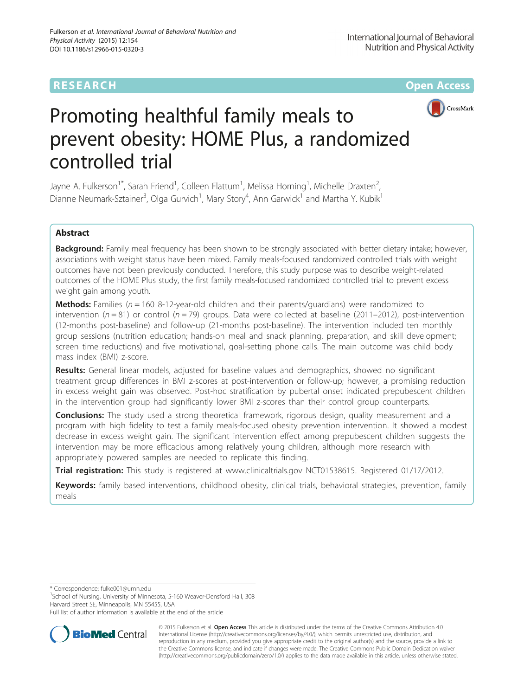## **RESEARCH CHE Open Access**



# Promoting healthful family meals to prevent obesity: HOME Plus, a randomized controlled trial

Jayne A. Fulkerson<sup>1\*</sup>, Sarah Friend<sup>1</sup>, Colleen Flattum<sup>1</sup>, Melissa Horning<sup>1</sup>, Michelle Draxten<sup>2</sup> , Dianne Neumark-Sztainer<sup>3</sup>, Olga Gurvich<sup>1</sup>, Mary Story<sup>4</sup>, Ann Garwick<sup>1</sup> and Martha Y. Kubik<sup>1</sup>

## Abstract

Background: Family meal frequency has been shown to be strongly associated with better dietary intake; however, associations with weight status have been mixed. Family meals-focused randomized controlled trials with weight outcomes have not been previously conducted. Therefore, this study purpose was to describe weight-related outcomes of the HOME Plus study, the first family meals-focused randomized controlled trial to prevent excess weight gain among youth.

**Methods:** Families ( $n = 1608-12$ -year-old children and their parents/guardians) were randomized to intervention ( $n = 81$ ) or control ( $n = 79$ ) groups. Data were collected at baseline (2011–2012), post-intervention (12-months post-baseline) and follow-up (21-months post-baseline). The intervention included ten monthly group sessions (nutrition education; hands-on meal and snack planning, preparation, and skill development; screen time reductions) and five motivational, goal-setting phone calls. The main outcome was child body mass index (BMI) z-score.

Results: General linear models, adjusted for baseline values and demographics, showed no significant treatment group differences in BMI z-scores at post-intervention or follow-up; however, a promising reduction in excess weight gain was observed. Post-hoc stratification by pubertal onset indicated prepubescent children in the intervention group had significantly lower BMI z-scores than their control group counterparts.

**Conclusions:** The study used a strong theoretical framework, rigorous design, quality measurement and a program with high fidelity to test a family meals-focused obesity prevention intervention. It showed a modest decrease in excess weight gain. The significant intervention effect among prepubescent children suggests the intervention may be more efficacious among relatively young children, although more research with appropriately powered samples are needed to replicate this finding.

Trial registration: This study is registered at [www.clinicaltrials.gov](https://clinicaltrials.gov/ct2/show/NCT01538615?term=NCT01538615&rank=1) NCT01538615. Registered 01/17/2012.

Keywords: family based interventions, childhood obesity, clinical trials, behavioral strategies, prevention, family meals

\* Correspondence: [fulke001@umn.edu](mailto:fulke001@umn.edu) <sup>1</sup>

<sup>1</sup>School of Nursing, University of Minnesota, 5-160 Weaver-Densford Hall, 308 Harvard Street SE, Minneapolis, MN 55455, USA

Full list of author information is available at the end of the article



© 2015 Fulkerson et al. Open Access This article is distributed under the terms of the Creative Commons Attribution 4.0 International License [\(http://creativecommons.org/licenses/by/4.0/](http://creativecommons.org/licenses/by/4.0/)), which permits unrestricted use, distribution, and reproduction in any medium, provided you give appropriate credit to the original author(s) and the source, provide a link to the Creative Commons license, and indicate if changes were made. The Creative Commons Public Domain Dedication waiver [\(http://creativecommons.org/publicdomain/zero/1.0/](http://creativecommons.org/publicdomain/zero/1.0/)) applies to the data made available in this article, unless otherwise stated.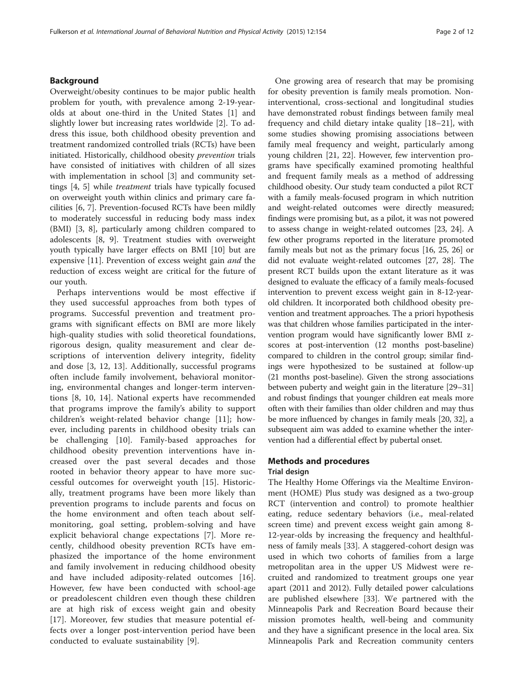## Background

Overweight/obesity continues to be major public health problem for youth, with prevalence among 2-19-yearolds at about one-third in the United States [[1\]](#page-10-0) and slightly lower but increasing rates worldwide [[2\]](#page-10-0). To address this issue, both childhood obesity prevention and treatment randomized controlled trials (RCTs) have been initiated. Historically, childhood obesity prevention trials have consisted of initiatives with children of all sizes with implementation in school [\[3](#page-10-0)] and community settings [\[4](#page-10-0), [5](#page-10-0)] while treatment trials have typically focused on overweight youth within clinics and primary care facilities [\[6, 7](#page-10-0)]. Prevention-focused RCTs have been mildly to moderately successful in reducing body mass index (BMI) [[3, 8\]](#page-10-0), particularly among children compared to adolescents [\[8, 9](#page-10-0)]. Treatment studies with overweight youth typically have larger effects on BMI [\[10\]](#page-10-0) but are expensive [[11](#page-10-0)]. Prevention of excess weight gain and the reduction of excess weight are critical for the future of our youth.

Perhaps interventions would be most effective if they used successful approaches from both types of programs. Successful prevention and treatment programs with significant effects on BMI are more likely high-quality studies with solid theoretical foundations, rigorous design, quality measurement and clear descriptions of intervention delivery integrity, fidelity and dose [[3, 12](#page-10-0), [13](#page-10-0)]. Additionally, successful programs often include family involvement, behavioral monitoring, environmental changes and longer-term interventions [[8, 10](#page-10-0), [14](#page-10-0)]. National experts have recommended that programs improve the family's ability to support children's weight-related behavior change [[11\]](#page-10-0); however, including parents in childhood obesity trials can be challenging [[10](#page-10-0)]. Family-based approaches for childhood obesity prevention interventions have increased over the past several decades and those rooted in behavior theory appear to have more successful outcomes for overweight youth [\[15](#page-10-0)]. Historically, treatment programs have been more likely than prevention programs to include parents and focus on the home environment and often teach about selfmonitoring, goal setting, problem-solving and have explicit behavioral change expectations [[7](#page-10-0)]. More recently, childhood obesity prevention RCTs have emphasized the importance of the home environment and family involvement in reducing childhood obesity and have included adiposity-related outcomes [\[16](#page-10-0)]. However, few have been conducted with school-age or preadolescent children even though these children are at high risk of excess weight gain and obesity [[17\]](#page-10-0). Moreover, few studies that measure potential effects over a longer post-intervention period have been conducted to evaluate sustainability [[9\]](#page-10-0).

One growing area of research that may be promising for obesity prevention is family meals promotion. Noninterventional, cross-sectional and longitudinal studies have demonstrated robust findings between family meal frequency and child dietary intake quality [\[18](#page-10-0)–[21\]](#page-10-0), with some studies showing promising associations between family meal frequency and weight, particularly among young children [[21](#page-10-0), [22\]](#page-10-0). However, few intervention programs have specifically examined promoting healthful and frequent family meals as a method of addressing childhood obesity. Our study team conducted a pilot RCT with a family meals-focused program in which nutrition and weight-related outcomes were directly measured; findings were promising but, as a pilot, it was not powered to assess change in weight-related outcomes [[23](#page-10-0), [24](#page-10-0)]. A few other programs reported in the literature promoted family meals but not as the primary focus [\[16, 25](#page-10-0), [26](#page-10-0)] or did not evaluate weight-related outcomes [\[27](#page-11-0), [28\]](#page-11-0). The present RCT builds upon the extant literature as it was designed to evaluate the efficacy of a family meals-focused intervention to prevent excess weight gain in 8-12-yearold children. It incorporated both childhood obesity prevention and treatment approaches. The a priori hypothesis was that children whose families participated in the intervention program would have significantly lower BMI zscores at post-intervention (12 months post-baseline) compared to children in the control group; similar findings were hypothesized to be sustained at follow-up (21 months post-baseline). Given the strong associations between puberty and weight gain in the literature [\[29](#page-11-0)–[31](#page-11-0)] and robust findings that younger children eat meals more often with their families than older children and may thus be more influenced by changes in family meals [\[20](#page-10-0), [32\]](#page-11-0), a subsequent aim was added to examine whether the intervention had a differential effect by pubertal onset.

## Methods and procedures

## Trial design

The Healthy Home Offerings via the Mealtime Environment (HOME) Plus study was designed as a two-group RCT (intervention and control) to promote healthier eating, reduce sedentary behaviors (i.e., meal-related screen time) and prevent excess weight gain among 8- 12-year-olds by increasing the frequency and healthfulness of family meals [[33\]](#page-11-0). A staggered-cohort design was used in which two cohorts of families from a large metropolitan area in the upper US Midwest were recruited and randomized to treatment groups one year apart (2011 and 2012). Fully detailed power calculations are published elsewhere [\[33](#page-11-0)]. We partnered with the Minneapolis Park and Recreation Board because their mission promotes health, well-being and community and they have a significant presence in the local area. Six Minneapolis Park and Recreation community centers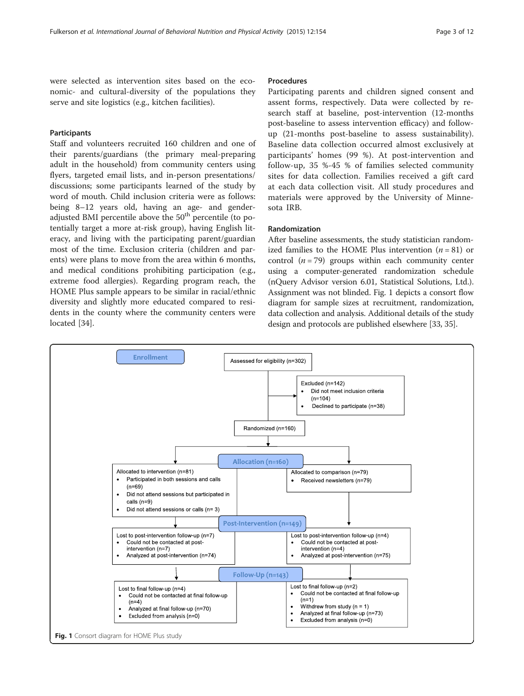<span id="page-2-0"></span>were selected as intervention sites based on the economic- and cultural-diversity of the populations they serve and site logistics (e.g., kitchen facilities).

## Participants

Staff and volunteers recruited 160 children and one of their parents/guardians (the primary meal-preparing adult in the household) from community centers using flyers, targeted email lists, and in-person presentations/ discussions; some participants learned of the study by word of mouth. Child inclusion criteria were as follows: being 8–12 years old, having an age- and genderadjusted BMI percentile above the 50<sup>th</sup> percentile (to potentially target a more at-risk group), having English literacy, and living with the participating parent/guardian most of the time. Exclusion criteria (children and parents) were plans to move from the area within 6 months, and medical conditions prohibiting participation (e.g., extreme food allergies). Regarding program reach, the HOME Plus sample appears to be similar in racial/ethnic diversity and slightly more educated compared to residents in the county where the community centers were located [\[34\]](#page-11-0).

## Procedures

Participating parents and children signed consent and assent forms, respectively. Data were collected by research staff at baseline, post-intervention (12-months post-baseline to assess intervention efficacy) and followup (21-months post-baseline to assess sustainability). Baseline data collection occurred almost exclusively at participants' homes (99 %). At post-intervention and follow-up, 35 %-45 % of families selected community sites for data collection. Families received a gift card at each data collection visit. All study procedures and materials were approved by the University of Minnesota IRB.

### Randomization

After baseline assessments, the study statistician randomized families to the HOME Plus intervention  $(n = 81)$  or control  $(n = 79)$  groups within each community center using a computer-generated randomization schedule (nQuery Advisor version 6.01, Statistical Solutions, Ltd.). Assignment was not blinded. Fig. 1 depicts a consort flow diagram for sample sizes at recruitment, randomization, data collection and analysis. Additional details of the study design and protocols are published elsewhere [\[33, 35](#page-11-0)].

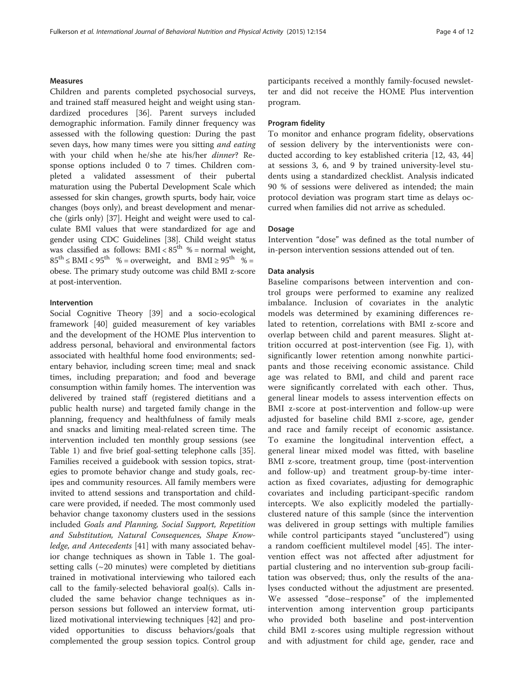## Measures

Children and parents completed psychosocial surveys, and trained staff measured height and weight using standardized procedures [\[36](#page-11-0)]. Parent surveys included demographic information. Family dinner frequency was assessed with the following question: During the past seven days, how many times were you sitting and eating with your child when he/she ate his/her dinner? Response options included 0 to 7 times. Children completed a validated assessment of their pubertal maturation using the Pubertal Development Scale which assessed for skin changes, growth spurts, body hair, voice changes (boys only), and breast development and menarche (girls only) [[37\]](#page-11-0). Height and weight were used to calculate BMI values that were standardized for age and gender using CDC Guidelines [\[38\]](#page-11-0). Child weight status was classified as follows:  $BMI < 85<sup>th</sup>$  % = normal weight,  $85^{\text{th}} \leq \text{BMI} < 95^{\text{th}}$  % = overweight, and BMI  $\geq 95^{\text{th}}$  % = obese. The primary study outcome was child BMI z-score at post-intervention.

## Intervention

Social Cognitive Theory [[39](#page-11-0)] and a socio-ecological framework [[40](#page-11-0)] guided measurement of key variables and the development of the HOME Plus intervention to address personal, behavioral and environmental factors associated with healthful home food environments; sedentary behavior, including screen time; meal and snack times, including preparation; and food and beverage consumption within family homes. The intervention was delivered by trained staff (registered dietitians and a public health nurse) and targeted family change in the planning, frequency and healthfulness of family meals and snacks and limiting meal-related screen time. The intervention included ten monthly group sessions (see Table [1\)](#page-4-0) and five brief goal-setting telephone calls [\[35](#page-11-0)]. Families received a guidebook with session topics, strategies to promote behavior change and study goals, recipes and community resources. All family members were invited to attend sessions and transportation and childcare were provided, if needed. The most commonly used behavior change taxonomy clusters used in the sessions included Goals and Planning, Social Support, Repetition and Substitution, Natural Consequences, Shape Know-ledge, and Antecedents [\[41](#page-11-0)] with many associated behavior change techniques as shown in Table [1.](#page-4-0) The goalsetting calls  $(\sim 20 \text{ minutes})$  were completed by dietitians trained in motivational interviewing who tailored each call to the family-selected behavioral goal(s). Calls included the same behavior change techniques as inperson sessions but followed an interview format, utilized motivational interviewing techniques [\[42\]](#page-11-0) and provided opportunities to discuss behaviors/goals that complemented the group session topics. Control group

participants received a monthly family-focused newsletter and did not receive the HOME Plus intervention program.

#### Program fidelity

To monitor and enhance program fidelity, observations of session delivery by the interventionists were conducted according to key established criteria [\[12,](#page-10-0) [43, 44](#page-11-0)] at sessions 3, 6, and 9 by trained university-level students using a standardized checklist. Analysis indicated 90 % of sessions were delivered as intended; the main protocol deviation was program start time as delays occurred when families did not arrive as scheduled.

## Dosage

Intervention "dose" was defined as the total number of in-person intervention sessions attended out of ten.

#### Data analysis

Baseline comparisons between intervention and control groups were performed to examine any realized imbalance. Inclusion of covariates in the analytic models was determined by examining differences related to retention, correlations with BMI z-score and overlap between child and parent measures. Slight attrition occurred at post-intervention (see Fig. [1](#page-2-0)), with significantly lower retention among nonwhite participants and those receiving economic assistance. Child age was related to BMI, and child and parent race were significantly correlated with each other. Thus, general linear models to assess intervention effects on BMI z-score at post-intervention and follow-up were adjusted for baseline child BMI z-score, age, gender and race and family receipt of economic assistance. To examine the longitudinal intervention effect, a general linear mixed model was fitted, with baseline BMI z-score, treatment group, time (post-intervention and follow-up) and treatment group-by-time interaction as fixed covariates, adjusting for demographic covariates and including participant-specific random intercepts. We also explicitly modeled the partiallyclustered nature of this sample (since the intervention was delivered in group settings with multiple families while control participants stayed "unclustered") using a random coefficient multilevel model [\[45\]](#page-11-0). The intervention effect was not affected after adjustment for partial clustering and no intervention sub-group facilitation was observed; thus, only the results of the analyses conducted without the adjustment are presented. We assessed "dose–response" of the implemented intervention among intervention group participants who provided both baseline and post-intervention child BMI z-scores using multiple regression without and with adjustment for child age, gender, race and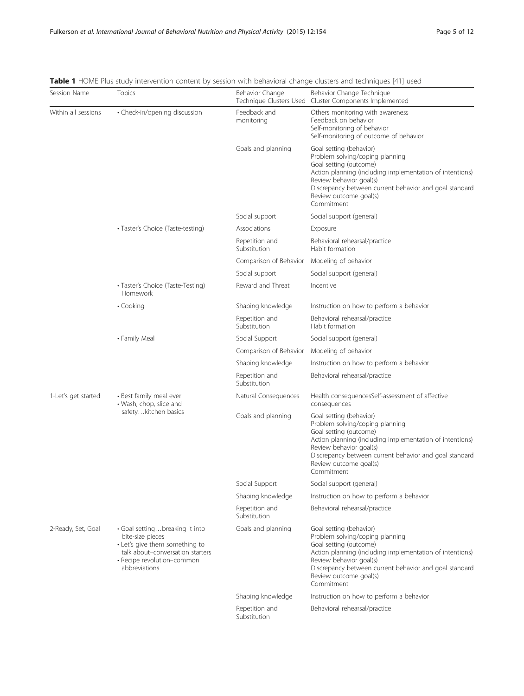| Session Name        | Topics                                                                                                                                                                  | Behavior Change<br>Technique Clusters Used | Behavior Change Technique<br>Cluster Components Implemented                                                                                                                                                                                                                   |  |
|---------------------|-------------------------------------------------------------------------------------------------------------------------------------------------------------------------|--------------------------------------------|-------------------------------------------------------------------------------------------------------------------------------------------------------------------------------------------------------------------------------------------------------------------------------|--|
| Within all sessions | • Check-in/opening discussion                                                                                                                                           | Feedback and<br>monitoring                 | Others monitoring with awareness<br>Feedback on behavior<br>Self-monitoring of behavior<br>Self-monitoring of outcome of behavior                                                                                                                                             |  |
|                     |                                                                                                                                                                         | Goals and planning                         | Goal setting (behavior)<br>Problem solving/coping planning<br>Goal setting (outcome)<br>Action planning (including implementation of intentions)<br>Review behavior goal(s)<br>Discrepancy between current behavior and goal standard<br>Review outcome goal(s)<br>Commitment |  |
|                     |                                                                                                                                                                         | Social support                             | Social support (general)                                                                                                                                                                                                                                                      |  |
|                     | • Taster's Choice (Taste-testing)                                                                                                                                       | Associations                               | Exposure                                                                                                                                                                                                                                                                      |  |
|                     |                                                                                                                                                                         | Repetition and<br>Substitution             | Behavioral rehearsal/practice<br>Habit formation                                                                                                                                                                                                                              |  |
|                     |                                                                                                                                                                         | Comparison of Behavior                     | Modeling of behavior                                                                                                                                                                                                                                                          |  |
|                     |                                                                                                                                                                         | Social support                             | Social support (general)                                                                                                                                                                                                                                                      |  |
|                     | • Taster's Choice (Taste-Testing)<br>Homework                                                                                                                           | Reward and Threat                          | Incentive                                                                                                                                                                                                                                                                     |  |
|                     | • Cooking                                                                                                                                                               | Shaping knowledge                          | Instruction on how to perform a behavior                                                                                                                                                                                                                                      |  |
|                     |                                                                                                                                                                         | Repetition and<br>Substitution             | Behavioral rehearsal/practice<br>Habit formation                                                                                                                                                                                                                              |  |
|                     | • Family Meal                                                                                                                                                           | Social Support                             | Social support (general)                                                                                                                                                                                                                                                      |  |
|                     |                                                                                                                                                                         | Comparison of Behavior                     | Modeling of behavior                                                                                                                                                                                                                                                          |  |
|                     |                                                                                                                                                                         | Shaping knowledge                          | Instruction on how to perform a behavior                                                                                                                                                                                                                                      |  |
|                     |                                                                                                                                                                         | Repetition and<br>Substitution             | Behavioral rehearsal/practice                                                                                                                                                                                                                                                 |  |
| 1-Let's get started | • Best family meal ever<br>• Wash, chop, slice and<br>safetykitchen basics                                                                                              | Natural Consequences                       | Health consequencesSelf-assessment of affective<br>consequences                                                                                                                                                                                                               |  |
|                     |                                                                                                                                                                         | Goals and planning                         | Goal setting (behavior)<br>Problem solving/coping planning<br>Goal setting (outcome)<br>Action planning (including implementation of intentions)<br>Review behavior goal(s)<br>Discrepancy between current behavior and goal standard<br>Review outcome goal(s)<br>Commitment |  |
|                     |                                                                                                                                                                         | Social Support                             | Social support (general)                                                                                                                                                                                                                                                      |  |
|                     |                                                                                                                                                                         | Shaping knowledge                          | Instruction on how to perform a behavior                                                                                                                                                                                                                                      |  |
|                     |                                                                                                                                                                         | Repetition and<br>Substitution             | Behavioral rehearsal/practice                                                                                                                                                                                                                                                 |  |
| 2-Ready, Set, Goal  | · Goal settingbreaking it into<br>bite-size pieces<br>• Let's give them something to<br>talk about-conversation starters<br>· Recipe revolution-common<br>abbreviations | Goals and planning                         | Goal setting (behavior)<br>Problem solving/coping planning<br>Goal setting (outcome)<br>Action planning (including implementation of intentions)<br>Review behavior goal(s)<br>Discrepancy between current behavior and goal standard<br>Review outcome goal(s)<br>Commitment |  |
|                     |                                                                                                                                                                         | Shaping knowledge                          | Instruction on how to perform a behavior                                                                                                                                                                                                                                      |  |
|                     |                                                                                                                                                                         | Repetition and<br>Substitution             | Behavioral rehearsal/practice                                                                                                                                                                                                                                                 |  |

<span id="page-4-0"></span>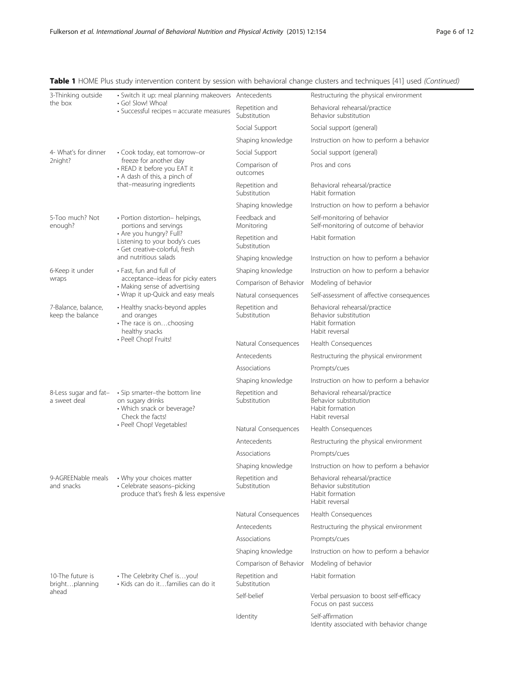| 3-Thinking outside<br>the box               | • Switch it up: meal planning makeovers Antecedents                                                                                                                             |                                | Restructuring the physical environment                                                      |
|---------------------------------------------|---------------------------------------------------------------------------------------------------------------------------------------------------------------------------------|--------------------------------|---------------------------------------------------------------------------------------------|
|                                             | • Go! Slow! Whoa!<br>• Successful recipes = accurate measures                                                                                                                   | Repetition and<br>Substitution | Behavioral rehearsal/practice<br>Behavior substitution                                      |
|                                             |                                                                                                                                                                                 | Social Support                 | Social support (general)                                                                    |
|                                             |                                                                                                                                                                                 | Shaping knowledge              | Instruction on how to perform a behavior                                                    |
| 4- What's for dinner<br>2night?             | • Cook today, eat tomorrow-or<br>freeze for another day<br>· READ it before you EAT it<br>• A dash of this, a pinch of<br>that-measuring ingredients                            | Social Support                 | Social support (general)                                                                    |
|                                             |                                                                                                                                                                                 | Comparison of<br>outcomes      | Pros and cons                                                                               |
|                                             |                                                                                                                                                                                 | Repetition and<br>Substitution | Behavioral rehearsal/practice<br>Habit formation                                            |
|                                             |                                                                                                                                                                                 | Shaping knowledge              | Instruction on how to perform a behavior                                                    |
| 5-Too much? Not<br>enough?                  | · Portion distortion- helpings,<br>portions and servings<br>• Are you hungry? Full?<br>Listening to your body's cues<br>· Get creative-colorful, fresh<br>and nutritious salads | Feedback and<br>Monitoring     | Self-monitoring of behavior<br>Self-monitoring of outcome of behavior                       |
|                                             |                                                                                                                                                                                 | Repetition and<br>Substitution | Habit formation                                                                             |
|                                             |                                                                                                                                                                                 | Shaping knowledge              | Instruction on how to perform a behavior                                                    |
| 6-Keep it under                             | • Fast, fun and full of<br>acceptance-ideas for picky eaters<br>• Making sense of advertising                                                                                   | Shaping knowledge              | Instruction on how to perform a behavior                                                    |
| wraps                                       |                                                                                                                                                                                 | Comparison of Behavior         | Modeling of behavior                                                                        |
|                                             | • Wrap it up-Quick and easy meals                                                                                                                                               | Natural consequences           | Self-assessment of affective consequences                                                   |
| 7-Balance, balance,<br>keep the balance     | • Healthy snacks-beyond apples<br>and oranges<br>• The race is onchoosing<br>healthy snacks<br>· Peel! Chop! Fruits!                                                            | Repetition and<br>Substitution | Behavioral rehearsal/practice<br>Behavior substitution<br>Habit formation<br>Habit reversal |
|                                             |                                                                                                                                                                                 | Natural Consequences           | Health Consequences                                                                         |
|                                             |                                                                                                                                                                                 | Antecedents                    | Restructuring the physical environment                                                      |
|                                             |                                                                                                                                                                                 | Associations                   | Prompts/cues                                                                                |
|                                             |                                                                                                                                                                                 | Shaping knowledge              | Instruction on how to perform a behavior                                                    |
| 8-Less sugar and fat-<br>a sweet deal       | • Sip smarter-the bottom line<br>on sugary drinks<br>• Which snack or beverage?<br>Check the facts!<br>· Peel! Chop! Vegetables!                                                | Repetition and<br>Substitution | Behavioral rehearsal/practice<br>Behavior substitution<br>Habit formation<br>Habit reversal |
|                                             |                                                                                                                                                                                 | Natural Consequences           | Health Consequences                                                                         |
|                                             |                                                                                                                                                                                 | Antecedents                    | Restructuring the physical environment                                                      |
|                                             |                                                                                                                                                                                 | Associations                   | Prompts/cues                                                                                |
|                                             |                                                                                                                                                                                 | Shaping knowledge              | Instruction on how to perform a behavior                                                    |
| and snacks                                  | 9-AGREENable meals • Why your choices matter<br>· Celebrate seasons-picking<br>produce that's fresh & less expensive                                                            | Repetition and<br>Substitution | Behavioral rehearsal/practice<br>Behavior substitution<br>Habit formation<br>Habit reversal |
|                                             |                                                                                                                                                                                 | Natural Consequences           | <b>Health Consequences</b>                                                                  |
|                                             |                                                                                                                                                                                 | Antecedents                    | Restructuring the physical environment                                                      |
|                                             |                                                                                                                                                                                 | Associations                   | Prompts/cues                                                                                |
|                                             |                                                                                                                                                                                 | Shaping knowledge              | Instruction on how to perform a behavior                                                    |
|                                             |                                                                                                                                                                                 | Comparison of Behavior         | Modeling of behavior                                                                        |
| 10-The future is<br>brightplanning<br>ahead | • The Celebrity Chef isyou!<br>• Kids can do itfamilies can do it                                                                                                               | Repetition and<br>Substitution | Habit formation                                                                             |
|                                             |                                                                                                                                                                                 | Self-belief                    | Verbal persuasion to boost self-efficacy<br>Focus on past success                           |
|                                             |                                                                                                                                                                                 | Identity                       | Self-affirmation<br>Identity associated with behavior change                                |

Table 1 HOME Plus study intervention content by session with behavioral change clusters and techniques [[41](#page-10-0)] used (Continued)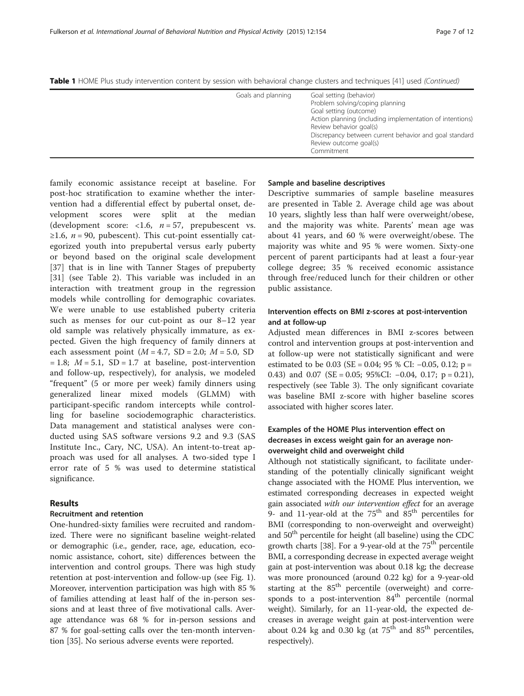| Goals and planning | Goal setting (behavior)<br>Problem solving/coping planning<br>Goal setting (outcome)<br>Action planning (including implementation of intentions)<br>Review behavior goal(s)<br>Discrepancy between current behavior and goal standard<br>Review outcome goal(s)<br>Commitment |
|--------------------|-------------------------------------------------------------------------------------------------------------------------------------------------------------------------------------------------------------------------------------------------------------------------------|
|--------------------|-------------------------------------------------------------------------------------------------------------------------------------------------------------------------------------------------------------------------------------------------------------------------------|

Table 1 HOME Plus study intervention content by session with behavioral change clusters and techniques [[41](#page-10-0)] used (Continued)

family economic assistance receipt at baseline. For post-hoc stratification to examine whether the intervention had a differential effect by pubertal onset, development scores were split at the median (development score: <1.6,  $n = 57$ , prepubescent vs.  $\geq$ 1.6, *n* = 90, pubescent). This cut-point essentially categorized youth into prepubertal versus early puberty or beyond based on the original scale development [[37\]](#page-11-0) that is in line with Tanner Stages of prepuberty [[31\]](#page-11-0) (see Table [2\)](#page-7-0). This variable was included in an interaction with treatment group in the regression models while controlling for demographic covariates. We were unable to use established puberty criteria such as menses for our cut-point as our 8–12 year old sample was relatively physically immature, as expected. Given the high frequency of family dinners at each assessment point  $(M = 4.7, SD = 2.0; M = 5.0, SD$  $= 1.8$ ;  $M = 5.1$ , SD = 1.7 at baseline, post-intervention and follow-up, respectively), for analysis, we modeled "frequent" (5 or more per week) family dinners using generalized linear mixed models (GLMM) with participant-specific random intercepts while controlling for baseline sociodemographic characteristics. Data management and statistical analyses were conducted using SAS software versions 9.2 and 9.3 (SAS Institute Inc., Cary, NC, USA). An intent-to-treat approach was used for all analyses. A two-sided type I error rate of 5 % was used to determine statistical significance.

## Results

## Recruitment and retention

One-hundred-sixty families were recruited and randomized. There were no significant baseline weight-related or demographic (i.e., gender, race, age, education, economic assistance, cohort, site) differences between the intervention and control groups. There was high study retention at post-intervention and follow-up (see Fig. [1](#page-2-0)). Moreover, intervention participation was high with 85 % of families attending at least half of the in-person sessions and at least three of five motivational calls. Average attendance was 68 % for in-person sessions and 87 % for goal-setting calls over the ten-month intervention [\[35\]](#page-11-0). No serious adverse events were reported.

#### Sample and baseline descriptives

Descriptive summaries of sample baseline measures are presented in Table [2.](#page-7-0) Average child age was about 10 years, slightly less than half were overweight/obese, and the majority was white. Parents' mean age was about 41 years, and 60 % were overweight/obese. The majority was white and 95 % were women. Sixty-one percent of parent participants had at least a four-year college degree; 35 % received economic assistance through free/reduced lunch for their children or other public assistance.

## Intervention effects on BMI z-scores at post-intervention and at follow-up

Adjusted mean differences in BMI z-scores between control and intervention groups at post-intervention and at follow-up were not statistically significant and were estimated to be  $0.03$  (SE = 0.04; 95 % CI: -0.05, 0.12; p = 0.43) and 0.07 (SE = 0.05; 95%CI: −0.04, 0.17; p = 0.21), respectively (see Table [3\)](#page-8-0). The only significant covariate was baseline BMI z-score with higher baseline scores associated with higher scores later.

## Examples of the HOME Plus intervention effect on decreases in excess weight gain for an average nonoverweight child and overweight child

Although not statistically significant, to facilitate understanding of the potentially clinically significant weight change associated with the HOME Plus intervention, we estimated corresponding decreases in expected weight gain associated with our intervention effect for an average 9- and 11-year-old at the  $75<sup>th</sup>$  and  $85<sup>th</sup>$  percentiles for BMI (corresponding to non-overweight and overweight) and  $50<sup>th</sup>$  percentile for height (all baseline) using the CDC growth charts [\[38\]](#page-11-0). For a 9-year-old at the  $75<sup>th</sup>$  percentile BMI, a corresponding decrease in expected average weight gain at post-intervention was about 0.18 kg; the decrease was more pronounced (around 0.22 kg) for a 9-year-old starting at the 85<sup>th</sup> percentile (overweight) and corresponds to a post-intervention  $84<sup>th</sup>$  percentile (normal weight). Similarly, for an 11-year-old, the expected decreases in average weight gain at post-intervention were about 0.24 kg and 0.30 kg (at  $75<sup>th</sup>$  and  $85<sup>th</sup>$  percentiles, respectively).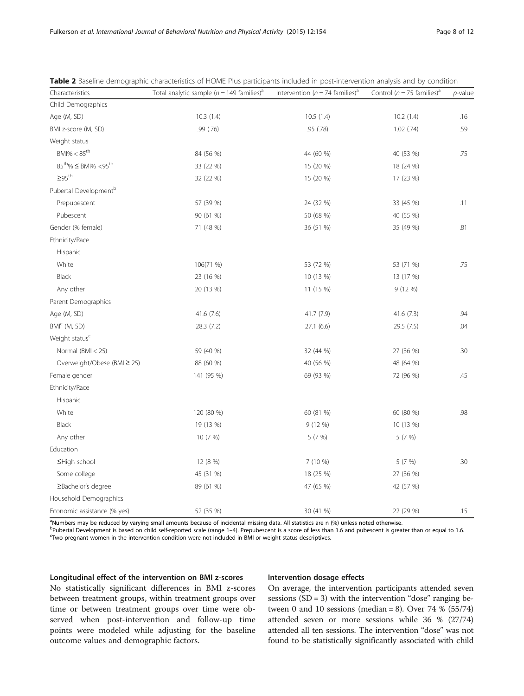| Characteristics                                | Total analytic sample ( $n = 149$ families) <sup>a</sup> | Intervention ( $n = 74$ families) <sup>a</sup> | Control ( $n = 75$ families) <sup>a</sup> | $p$ -value |
|------------------------------------------------|----------------------------------------------------------|------------------------------------------------|-------------------------------------------|------------|
| Child Demographics                             |                                                          |                                                |                                           |            |
| Age (M, SD)                                    | 10.3(1.4)                                                | 10.5(1.4)                                      | 10.2(1.4)                                 | .16        |
| BMI z-score (M, SD)                            | .99 (.76)                                                | .95 (.78)                                      | $1.02$ (.74)                              | .59        |
| Weight status                                  |                                                          |                                                |                                           |            |
| $BMI\% < 85^{th}$                              | 84 (56 %)                                                | 44 (60 %)                                      | 40 (53 %)                                 | .75        |
| $85^{\text{th}}\% \leq BMI\% < 95^{\text{th}}$ | 33 (22 %)                                                | 15 (20 %)                                      | 18 (24 %)                                 |            |
| $\geq 95^{\text{th}}$                          | 32 (22 %)                                                | 15 (20 %)                                      | 17 (23 %)                                 |            |
| Pubertal Development <sup>b</sup>              |                                                          |                                                |                                           |            |
| Prepubescent                                   | 57 (39 %)                                                | 24 (32 %)                                      | 33 (45 %)                                 | .11        |
| Pubescent                                      | 90 (61 %)                                                | 50 (68 %)                                      | 40 (55 %)                                 |            |
| Gender (% female)                              | 71 (48 %)                                                | 36 (51 %)                                      | 35 (49 %)                                 | .81        |
| Ethnicity/Race                                 |                                                          |                                                |                                           |            |
| Hispanic                                       |                                                          |                                                |                                           |            |
| White                                          | 106(71 %)                                                | 53 (72 %)                                      | 53 (71 %)                                 | .75        |
| Black                                          | 23 (16 %)                                                | 10 (13 %)                                      | 13 (17 %)                                 |            |
| Any other                                      | 20 (13 %)                                                | 11 (15 %)                                      | 9 (12 %)                                  |            |
| Parent Demographics                            |                                                          |                                                |                                           |            |
| Age (M, SD)                                    | 41.6(7.6)                                                | 41.7 (7.9)                                     | 41.6 (7.3)                                | .94        |
| BMI <sup>c</sup> (M, SD)                       | 28.3(7.2)                                                | 27.1 (6.6)                                     | 29.5 (7.5)                                | .04        |
| Weight status <sup>c</sup>                     |                                                          |                                                |                                           |            |
| Normal (BMI < 25)                              | 59 (40 %)                                                | 32 (44 %)                                      | 27 (36 %)                                 | .30        |
| Overweight/Obese (BMI ≥ 25)                    | 88 (60 %)                                                | 40 (56 %)                                      | 48 (64 %)                                 |            |
| Female gender                                  | 141 (95 %)                                               | 69 (93 %)                                      | 72 (96 %)                                 | .45        |
| Ethnicity/Race                                 |                                                          |                                                |                                           |            |
| Hispanic                                       |                                                          |                                                |                                           |            |
| White                                          | 120 (80 %)                                               | 60 (81 %)                                      | 60 (80 %)                                 | .98        |
| Black                                          | 19 (13 %)                                                | $9(12\%)$                                      | 10 (13 %)                                 |            |
| Any other                                      | 10(7%)                                                   | 5(7%)                                          | 5(7%)                                     |            |
| Education                                      |                                                          |                                                |                                           |            |
| ≤High school                                   | 12 (8 %)                                                 | 7 (10 %)                                       | 5(7%)                                     | .30        |
| Some college                                   | 45 (31 %)                                                | 18 (25 %)                                      | 27 (36 %)                                 |            |
| ≥Bachelor's degree                             | 89 (61 %)                                                | 47 (65 %)                                      | 42 (57 %)                                 |            |
| Household Demographics                         |                                                          |                                                |                                           |            |
| Economic assistance (% yes)                    | 52 (35 %)                                                | 30 (41 %)                                      | 22 (29 %)                                 | .15        |

<span id="page-7-0"></span>Table 2 Baseline demographic characteristics of HOME Plus participants included in post-intervention analysis and by condition

a Numbers may be reduced by varying small amounts because of incidental missing data. All statistics are n (%) unless noted otherwise.

bpubertal Development is based on child self-reported scale (range 1–4). Prepubescent is a score of less than 1.6 and pubescent is greater than or equal to 1.6. Child self-reported scale (range 1–4). Prepubescent is a scor Two pregnant women in the intervention condition were not included in BMI or weight status descriptives.

#### Longitudinal effect of the intervention on BMI z-scores

#### Intervention dosage effects

No statistically significant differences in BMI z-scores between treatment groups, within treatment groups over time or between treatment groups over time were observed when post-intervention and follow-up time points were modeled while adjusting for the baseline outcome values and demographic factors.

On average, the intervention participants attended seven sessions  $(SD = 3)$  with the intervention "dose" ranging between 0 and 10 sessions (median = 8). Over 74 % (55/74) attended seven or more sessions while 36 % (27/74) attended all ten sessions. The intervention "dose" was not found to be statistically significantly associated with child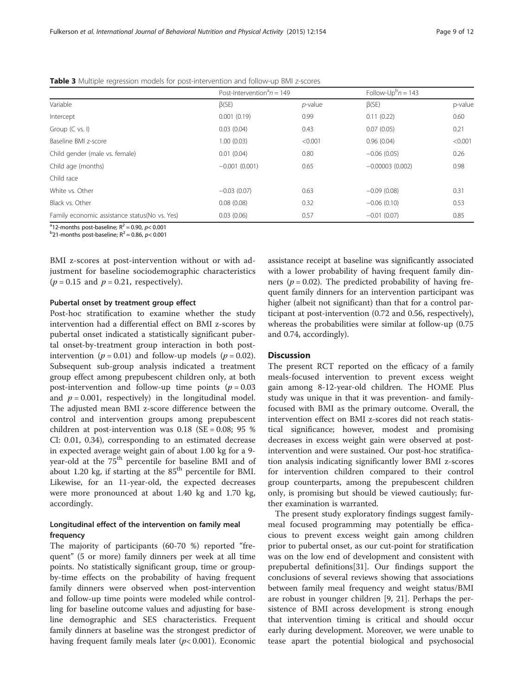|                                               | Post-Intervention <sup>a</sup> $n = 149$ |            | Follow-Up <sup>b</sup> $n = 143$ |         |
|-----------------------------------------------|------------------------------------------|------------|----------------------------------|---------|
| Variable                                      | $\beta$ (SE)                             | $p$ -value | $\beta$ (SE)                     | p-value |
| Intercept                                     | 0.001(0.19)                              | 0.99       | 0.11(0.22)                       | 0.60    |
| Group $(C vs. I)$                             | 0.03(0.04)                               | 0.43       | 0.07(0.05)                       | 0.21    |
| Baseline BMI z-score                          | 1.00(0.03)                               | < 0.001    | 0.96(0.04)                       | < 0.001 |
| Child gender (male vs. female)                | 0.01(0.04)                               | 0.80       | $-0.06(0.05)$                    | 0.26    |
| Child age (months)                            | $-0.001(0.001)$                          | 0.65       | $-0.00003(0.002)$                | 0.98    |
| Child race                                    |                                          |            |                                  |         |
| White vs. Other                               | $-0.03(0.07)$                            | 0.63       | $-0.09(0.08)$                    | 0.31    |
| Black vs. Other                               | 0.08(0.08)                               | 0.32       | $-0.06(0.10)$                    | 0.53    |
| Family economic assistance status(No vs. Yes) | 0.03(0.06)                               | 0.57       | $-0.01(0.07)$                    | 0.85    |

<span id="page-8-0"></span>Table 3 Multiple regression models for post-intervention and follow-up BMI z-scores

<sup>a</sup> 12-months post-baseline;  $R^2 = 0.90$ ,  $p < 0.001$ <br>b<sub>21</sub>-months post-baseline;  $R^2 = 0.86$ ,  $p < 0.001$ 

 $b$ 21-months post-baseline; R<sup>2</sup> = 0.86, p < 0.001

BMI z-scores at post-intervention without or with adjustment for baseline sociodemographic characteristics  $(p = 0.15$  and  $p = 0.21$ , respectively).

## Pubertal onset by treatment group effect

Post-hoc stratification to examine whether the study intervention had a differential effect on BMI z-scores by pubertal onset indicated a statistically significant pubertal onset-by-treatment group interaction in both postintervention ( $p = 0.01$ ) and follow-up models ( $p = 0.02$ ). Subsequent sub-group analysis indicated a treatment group effect among prepubescent children only, at both post-intervention and follow-up time points ( $p = 0.03$ ) and  $p = 0.001$ , respectively) in the longitudinal model. The adjusted mean BMI z-score difference between the control and intervention groups among prepubescent children at post-intervention was 0.18 (SE = 0.08; 95 % CI: 0.01, 0.34), corresponding to an estimated decrease in expected average weight gain of about 1.00 kg for a 9 year-old at the 75<sup>th</sup> percentile for baseline BMI and of about 1.20 kg, if starting at the  $85<sup>th</sup>$  percentile for BMI. Likewise, for an 11-year-old, the expected decreases were more pronounced at about 1.40 kg and 1.70 kg, accordingly.

## Longitudinal effect of the intervention on family meal frequency

The majority of participants (60-70 %) reported "frequent" (5 or more) family dinners per week at all time points. No statistically significant group, time or groupby-time effects on the probability of having frequent family dinners were observed when post-intervention and follow-up time points were modeled while controlling for baseline outcome values and adjusting for baseline demographic and SES characteristics. Frequent family dinners at baseline was the strongest predictor of having frequent family meals later  $(p< 0.001)$ . Economic assistance receipt at baseline was significantly associated with a lower probability of having frequent family dinners ( $p = 0.02$ ). The predicted probability of having frequent family dinners for an intervention participant was higher (albeit not significant) than that for a control participant at post-intervention (0.72 and 0.56, respectively), whereas the probabilities were similar at follow-up (0.75 and 0.74, accordingly).

## **Discussion**

The present RCT reported on the efficacy of a family meals-focused intervention to prevent excess weight gain among 8-12-year-old children. The HOME Plus study was unique in that it was prevention- and familyfocused with BMI as the primary outcome. Overall, the intervention effect on BMI z-scores did not reach statistical significance; however, modest and promising decreases in excess weight gain were observed at postintervention and were sustained. Our post-hoc stratification analysis indicating significantly lower BMI z-scores for intervention children compared to their control group counterparts, among the prepubescent children only, is promising but should be viewed cautiously; further examination is warranted.

The present study exploratory findings suggest familymeal focused programming may potentially be efficacious to prevent excess weight gain among children prior to pubertal onset, as our cut-point for stratification was on the low end of development and consistent with prepubertal definitions[\[31](#page-11-0)]. Our findings support the conclusions of several reviews showing that associations between family meal frequency and weight status/BMI are robust in younger children [[9, 21](#page-10-0)]. Perhaps the persistence of BMI across development is strong enough that intervention timing is critical and should occur early during development. Moreover, we were unable to tease apart the potential biological and psychosocial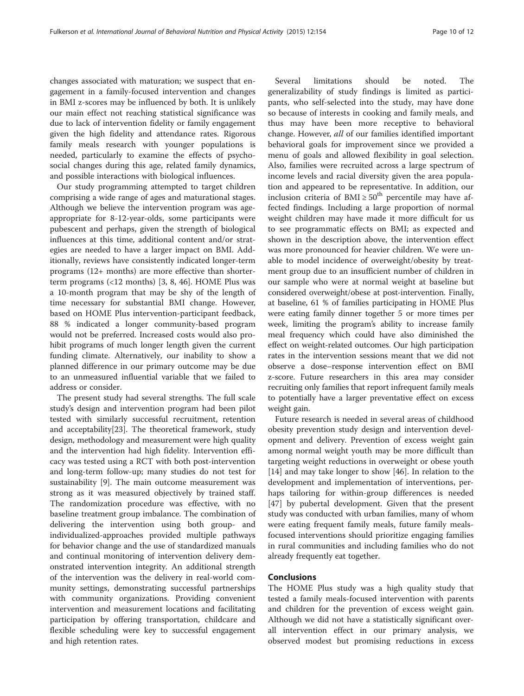changes associated with maturation; we suspect that engagement in a family-focused intervention and changes in BMI z-scores may be influenced by both. It is unlikely our main effect not reaching statistical significance was due to lack of intervention fidelity or family engagement given the high fidelity and attendance rates. Rigorous family meals research with younger populations is needed, particularly to examine the effects of psychosocial changes during this age, related family dynamics, and possible interactions with biological influences.

Our study programming attempted to target children comprising a wide range of ages and maturational stages. Although we believe the intervention program was ageappropriate for 8-12-year-olds, some participants were pubescent and perhaps, given the strength of biological influences at this time, additional content and/or strategies are needed to have a larger impact on BMI. Additionally, reviews have consistently indicated longer-term programs (12+ months) are more effective than shorterterm programs (<12 months) [\[3](#page-10-0), [8](#page-10-0), [46\]](#page-11-0). HOME Plus was a 10-month program that may be shy of the length of time necessary for substantial BMI change. However, based on HOME Plus intervention-participant feedback, 88 % indicated a longer community-based program would not be preferred. Increased costs would also prohibit programs of much longer length given the current funding climate. Alternatively, our inability to show a planned difference in our primary outcome may be due to an unmeasured influential variable that we failed to address or consider.

The present study had several strengths. The full scale study's design and intervention program had been pilot tested with similarly successful recruitment, retention and acceptability[[23\]](#page-10-0). The theoretical framework, study design, methodology and measurement were high quality and the intervention had high fidelity. Intervention efficacy was tested using a RCT with both post-intervention and long-term follow-up; many studies do not test for sustainability [\[9\]](#page-10-0). The main outcome measurement was strong as it was measured objectively by trained staff. The randomization procedure was effective, with no baseline treatment group imbalance. The combination of delivering the intervention using both group- and individualized-approaches provided multiple pathways for behavior change and the use of standardized manuals and continual monitoring of intervention delivery demonstrated intervention integrity. An additional strength of the intervention was the delivery in real-world community settings, demonstrating successful partnerships with community organizations. Providing convenient intervention and measurement locations and facilitating participation by offering transportation, childcare and flexible scheduling were key to successful engagement and high retention rates.

Several limitations should be noted. The generalizability of study findings is limited as participants, who self-selected into the study, may have done so because of interests in cooking and family meals, and thus may have been more receptive to behavioral change. However, all of our families identified important behavioral goals for improvement since we provided a menu of goals and allowed flexibility in goal selection. Also, families were recruited across a large spectrum of income levels and racial diversity given the area population and appeared to be representative. In addition, our inclusion criteria of  $BMI \ge 50<sup>th</sup>$  percentile may have affected findings. Including a large proportion of normal weight children may have made it more difficult for us to see programmatic effects on BMI; as expected and shown in the description above, the intervention effect was more pronounced for heavier children. We were unable to model incidence of overweight/obesity by treatment group due to an insufficient number of children in our sample who were at normal weight at baseline but considered overweight/obese at post-intervention. Finally, at baseline, 61 % of families participating in HOME Plus were eating family dinner together 5 or more times per week, limiting the program's ability to increase family meal frequency which could have also diminished the effect on weight-related outcomes. Our high participation rates in the intervention sessions meant that we did not observe a dose–response intervention effect on BMI z-score. Future researchers in this area may consider recruiting only families that report infrequent family meals to potentially have a larger preventative effect on excess weight gain.

Future research is needed in several areas of childhood obesity prevention study design and intervention development and delivery. Prevention of excess weight gain among normal weight youth may be more difficult than targeting weight reductions in overweight or obese youth [[14\]](#page-10-0) and may take longer to show [[46\]](#page-11-0). In relation to the development and implementation of interventions, perhaps tailoring for within-group differences is needed [[47\]](#page-11-0) by pubertal development. Given that the present study was conducted with urban families, many of whom were eating frequent family meals, future family mealsfocused interventions should prioritize engaging families in rural communities and including families who do not already frequently eat together.

## Conclusions

The HOME Plus study was a high quality study that tested a family meals-focused intervention with parents and children for the prevention of excess weight gain. Although we did not have a statistically significant overall intervention effect in our primary analysis, we observed modest but promising reductions in excess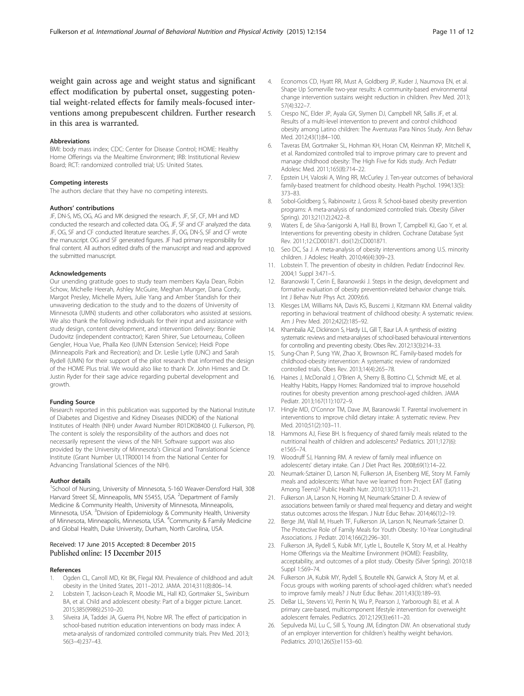<span id="page-10-0"></span>weight gain across age and weight status and significant effect modification by pubertal onset, suggesting potential weight-related effects for family meals-focused interventions among prepubescent children. Further research in this area is warranted.

#### Abbreviations

BMI: body mass index; CDC: Center for Disease Control; HOME: Healthy Home Offerings via the Mealtime Environment; IRB: Institutional Review Board; RCT: randomized controlled trial; US: United States.

#### Competing interests

The authors declare that they have no competing interests.

#### Authors' contributions

JF, DN-S, MS, OG, AG and MK designed the research. JF, SF, CF, MH and MD conducted the research and collected data. OG, JF, SF and CF analyzed the data. JF, OG, SF and CF conducted literature searches. JF, OG, DN-S, SF and CF wrote the manuscript. OG and SF generated figures. JF had primary responsibility for final content. All authors edited drafts of the manuscript and read and approved the submitted manuscript.

#### Acknowledgements

Our unending gratitude goes to study team members Kayla Dean, Robin Schow, Michelle Heerah, Ashley McGuire, Meghan Munger, Dana Cordy, Margot Presley, Michelle Myers, Julie Yang and Amber Standish for their unwavering dedication to the study and to the dozens of University of Minnesota (UMN) students and other collaborators who assisted at sessions. We also thank the following individuals for their input and assistance with study design, content development, and intervention delivery: Bonnie Dudovitz (independent contractor); Karen Shirer, Sue Letourneau, Colleen Gengler, Houa Vue, Phalla Keo (UMN Extension Service); Heidi Pope (Minneapolis Park and Recreation); and Dr. Leslie Lytle (UNC) and Sarah Rydell (UMN) for their support of the pilot research that informed the design of the HOME Plus trial. We would also like to thank Dr. John Himes and Dr. Justin Ryder for their sage advice regarding pubertal development and growth.

#### Funding Source

Research reported in this publication was supported by the National Institute of Diabetes and Digestive and Kidney Diseases (NIDDK) of the National Institutes of Health (NIH) under Award Number R01DK08400 (J. Fulkerson, PI). The content is solely the responsibility of the authors and does not necessarily represent the views of the NIH. Software support was also provided by the University of Minnesota's Clinical and Translational Science Institute (Grant Number UL1TR000114 from the National Center for Advancing Translational Sciences of the NIH).

#### Author details

<sup>1</sup>School of Nursing, University of Minnesota, 5-160 Weaver-Densford Hall, 308 Harvard Street SE, Minneapolis, MN 55455, USA. <sup>2</sup>Department of Family Medicine & Community Health, University of Minnesota, Minneapolis, Minnesota, USA. <sup>3</sup>Division of Epidemiology & Community Health, University of Minnesota, Minneapolis, Minnesota, USA. <sup>4</sup>Community & Family Medicine and Global Health, Duke University, Durham, North Carolina, USA.

# Received: 17 June 2015 Accepted: 8 December 2015

#### References

- 1. Ogden CL, Carroll MD, Kit BK, Flegal KM. Prevalence of childhood and adult obesity in the United States, 2011–2012. JAMA. 2014;311(8):806–14.
- 2. Lobstein T, Jackson-Leach R, Moodie ML, Hall KD, Gortmaker SL, Swinburn BA, et al. Child and adolescent obesity: Part of a bigger picture. Lancet. 2015;385(9986):2510–20.
- Silveira JA, Taddei JA, Guerra PH, Nobre MR. The effect of participation in school-based nutrition education interventions on body mass index: A meta-analysis of randomized controlled community trials. Prev Med. 2013; 56(3–4):237–43.
- 4. Economos CD, Hyatt RR, Must A, Goldberg JP, Kuder J, Naumova EN, et al. Shape Up Somerville two-year results: A community-based environmental change intervention sustains weight reduction in children. Prev Med. 2013; 57(4):322–7.
- 5. Crespo NC, Elder JP, Ayala GX, Slymen DJ, Campbell NR, Sallis JF, et al. Results of a multi-level intervention to prevent and control childhood obesity among Latino children: The Aventuras Para Ninos Study. Ann Behav Med. 2012;43(1):84–100.
- 6. Taveras EM, Gortmaker SL, Hohman KH, Horan CM, Kleinman KP, Mitchell K, et al. Randomized controlled trial to improve primary care to prevent and manage childhood obesity: The High Five for Kids study. Arch Pediatr Adolesc Med. 2011;165(8):714–22.
- 7. Epstein LH, Valoski A, Wing RR, McCurley J. Ten-year outcomes of behavioral family-based treatment for childhood obesity. Health Psychol. 1994;13(5): 373–83.
- Sobol-Goldberg S, Rabinowitz J, Gross R. School-based obesity prevention programs: A meta-analysis of randomized controlled trials. Obesity (Silver Spring). 2013;21(12):2422–8.
- 9. Waters E, de Silva-Sanigorski A, Hall BJ, Brown T, Campbell KJ, Gao Y, et al. Interventions for preventing obesity in children. Cochrane Database Syst Rev. 2011;12:CD001871. doi(12):CD001871.
- 10. Seo DC, Sa J. A meta-analysis of obesity interventions among U.S. minority children. J Adolesc Health. 2010;46(4):309–23.
- 11. Lobstein T. The prevention of obesity in children. Pediatr Endocrinol Rev. 2004;1 Suppl 3:471–5.
- 12. Baranowski T, Cerin E, Baranowski J. Steps in the design, development and formative evaluation of obesity prevention-related behavior change trials. Int J Behav Nutr Phys Act. 2009;6:6.
- 13. Klesges LM, Williams NA, Davis KS, Buscemi J, Kitzmann KM. External validity reporting in behavioral treatment of childhood obesity: A systematic review. Am J Prev Med. 2012;42(2):185–92.
- 14. Khambalia AZ, Dickinson S, Hardy LL, Gill T, Baur LA. A synthesis of existing systematic reviews and meta-analyses of school-based behavioural interventions for controlling and preventing obesity. Obes Rev. 2012;13(3):214–33.
- 15. Sung-Chan P, Sung YW, Zhao X, Brownson RC. Family-based models for childhood-obesity intervention: A systematic review of randomized controlled trials. Obes Rev. 2013;14(4):265–78.
- 16. Haines J, McDonald J, O'Brien A, Sherry B, Bottino CJ, Schmidt ME, et al. Healthy Habits, Happy Homes: Randomized trial to improve household routines for obesity prevention among preschool-aged children. JAMA Pediatr. 2013;167(11):1072–9.
- 17. Hingle MD, O'Connor TM, Dave JM, Baranowski T. Parental involvement in interventions to improve child dietary intake: A systematic review. Prev Med. 2010;51(2):103–11.
- 18. Hammons AJ, Fiese BH. Is frequency of shared family meals related to the nutritional health of children and adolescents? Pediatrics. 2011;127(6): e1565–74.
- 19. Woodruff SJ, Hanning RM. A review of family meal influence on adolescents' dietary intake. Can J Diet Pract Res. 2008;69(1):14–22.
- 20. Neumark-Sztainer D, Larson NI, Fulkerson JA, Eisenberg ME, Story M. Family meals and adolescents: What have we learned from Project EAT (Eating Among Teens)? Public Health Nutr. 2010;13(7):1113–21.
- 21. Fulkerson JA, Larson N, Horning M, Neumark-Sztainer D. A review of associations between family or shared meal frequency and dietary and weight status outcomes across the lifespan. J Nutr Educ Behav. 2014;46(1):2–19.
- 22. Berge JM, Wall M, Hsueh TF, Fulkerson JA, Larson N, Neumark-Sztainer D. The Protective Role of Family Meals for Youth Obesity: 10-Year Longitudinal Associations. J Pediatr. 2014;166(2):296–301.
- 23. Fulkerson JA, Rydell S, Kubik MY, Lytle L, Boutelle K, Story M, et al. Healthy Home Offerings via the Mealtime Environment (HOME): Feasibility, acceptability, and outcomes of a pilot study. Obesity (Silver Spring). 2010;18 Suppl 1:S69–74.
- 24. Fulkerson JA, Kubik MY, Rydell S, Boutelle KN, Garwick A, Story M, et al. Focus groups with working parents of school-aged children: what's needed to improve family meals? J Nutr Educ Behav. 2011;43(3):189–93.
- 25. DeBar LL, Stevens VJ, Perrin N, Wu P, Pearson J, Yarborough BJ, et al. A primary care-based, multicomponent lifestyle intervention for overweight adolescent females. Pediatrics. 2012;129(3):e611–20.
- 26. Sepulveda MJ, Lu C, Sill S, Young JM, Edington DW. An observational study of an employer intervention for children's healthy weight behaviors. Pediatrics. 2010;126(5):e1153–60.